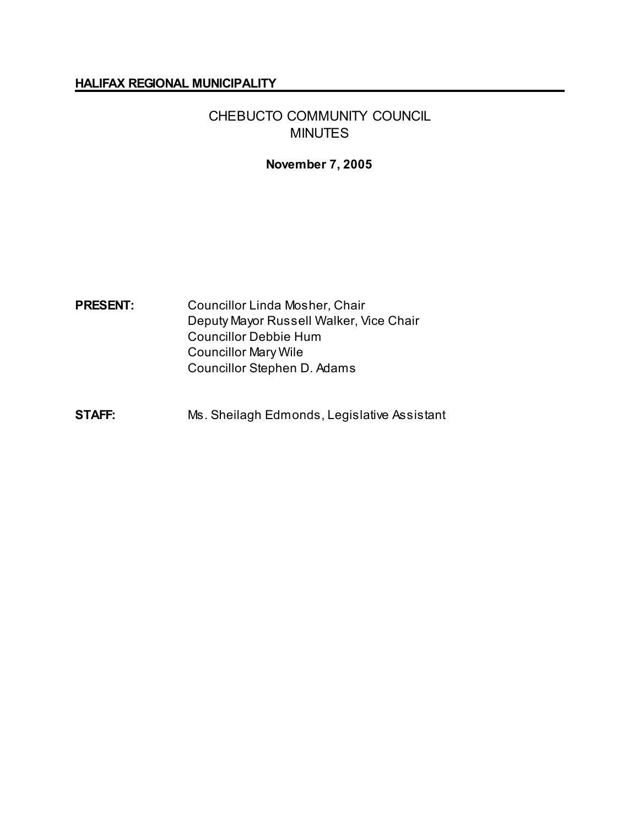#### **HALIFAX REGIONAL MUNICIPALITY**

# CHEBUCTO COMMUNITY COUNCIL MINUTES

### **November 7, 2005**

# **PRESENT:** Councillor Linda Mosher, Chair Deputy Mayor Russell Walker, Vice Chair Councillor Debbie Hum Councillor Mary Wile Councillor Stephen D. Adams

**STAFF:** Ms. Sheilagh Edmonds, Legislative Assistant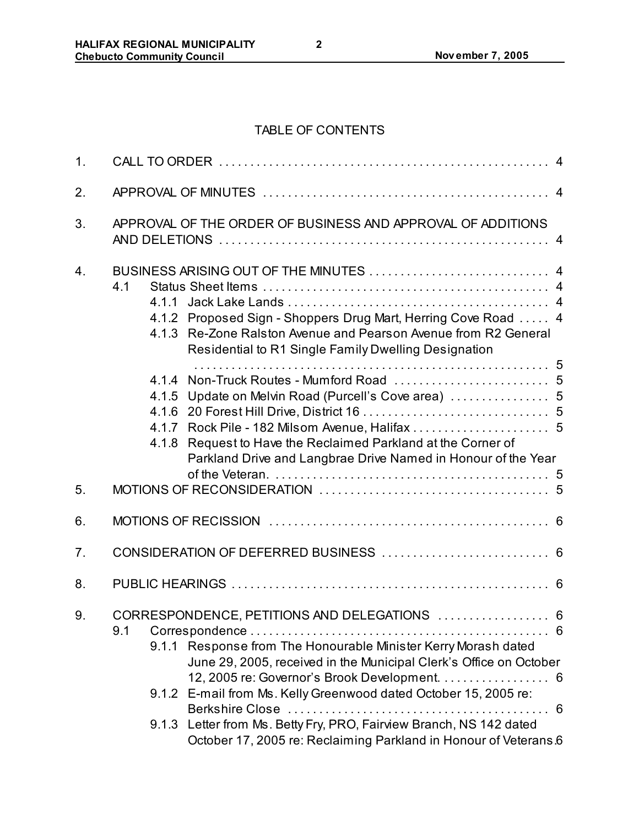# TABLE OF CONTENTS

| 1.             |                                                                                                                                                                                                                                                                                                                                                                                                                                                                                                             |  |  |  |
|----------------|-------------------------------------------------------------------------------------------------------------------------------------------------------------------------------------------------------------------------------------------------------------------------------------------------------------------------------------------------------------------------------------------------------------------------------------------------------------------------------------------------------------|--|--|--|
| 2.             |                                                                                                                                                                                                                                                                                                                                                                                                                                                                                                             |  |  |  |
| 3.             | APPROVAL OF THE ORDER OF BUSINESS AND APPROVAL OF ADDITIONS                                                                                                                                                                                                                                                                                                                                                                                                                                                 |  |  |  |
| 4.             | 4.1<br>4.1.2 Proposed Sign - Shoppers Drug Mart, Herring Cove Road  4<br>4.1.3 Re-Zone Ralston Avenue and Pearson Avenue from R2 General<br>Residential to R1 Single Family Dwelling Designation                                                                                                                                                                                                                                                                                                            |  |  |  |
| 5.             | 4.1.5 Update on Melvin Road (Purcell's Cove area)  5<br>4.1.7 Rock Pile - 182 Milsom Avenue, Halifax  5<br>4.1.8 Request to Have the Reclaimed Parkland at the Corner of<br>Parkland Drive and Langbrae Drive Named in Honour of the Year                                                                                                                                                                                                                                                                   |  |  |  |
| 6.             |                                                                                                                                                                                                                                                                                                                                                                                                                                                                                                             |  |  |  |
| 7 <sub>1</sub> |                                                                                                                                                                                                                                                                                                                                                                                                                                                                                                             |  |  |  |
| 8.             |                                                                                                                                                                                                                                                                                                                                                                                                                                                                                                             |  |  |  |
| 9.             | CORRESPONDENCE, PETITIONS AND DELEGATIONS  6<br>9.1<br>. 6<br>9.1.1 Response from The Honourable Minister Kerry Morash dated<br>June 29, 2005, received in the Municipal Clerk's Office on October<br>12, 2005 re: Governor's Brook Development.<br>6<br>9.1.2 E-mail from Ms. Kelly Greenwood dated October 15, 2005 re:<br>Berkshire Close<br>$\overline{0}$ .<br>9.1.3 Letter from Ms. Betty Fry, PRO, Fairview Branch, NS 142 dated<br>October 17, 2005 re: Reclaiming Parkland in Honour of Veterans 6 |  |  |  |

**2**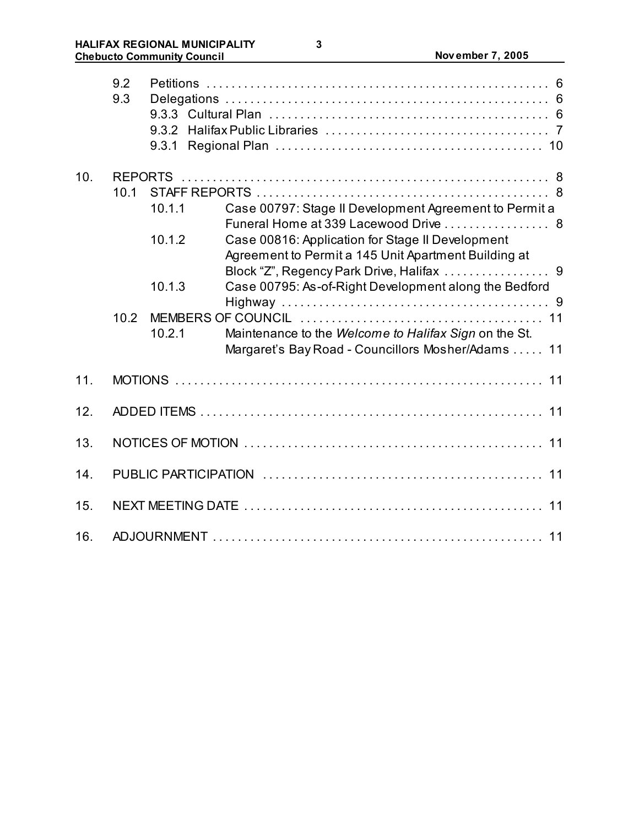|     | 9.2<br>9.3     | 9.3.1  |                                                                                                             |  |
|-----|----------------|--------|-------------------------------------------------------------------------------------------------------------|--|
| 10. | <b>REPORTS</b> |        |                                                                                                             |  |
|     | 10.1           |        |                                                                                                             |  |
|     |                | 10.1.1 | Case 00797: Stage II Development Agreement to Permit a<br>Funeral Home at 339 Lacewood Drive  8             |  |
|     |                | 10.1.2 | Case 00816: Application for Stage II Development<br>Agreement to Permit a 145 Unit Apartment Building at    |  |
|     |                | 10.1.3 | Case 00795: As-of-Right Development along the Bedford                                                       |  |
|     | 10.2           |        |                                                                                                             |  |
|     |                | 10.2.1 | Maintenance to the Welcome to Halifax Sign on the St.<br>Margaret's Bay Road - Councillors Mosher/Adams  11 |  |
| 11. |                |        |                                                                                                             |  |
| 12. |                |        |                                                                                                             |  |
| 13. |                |        |                                                                                                             |  |
| 14. |                |        |                                                                                                             |  |
| 15. |                |        |                                                                                                             |  |
| 16. |                |        |                                                                                                             |  |

**3**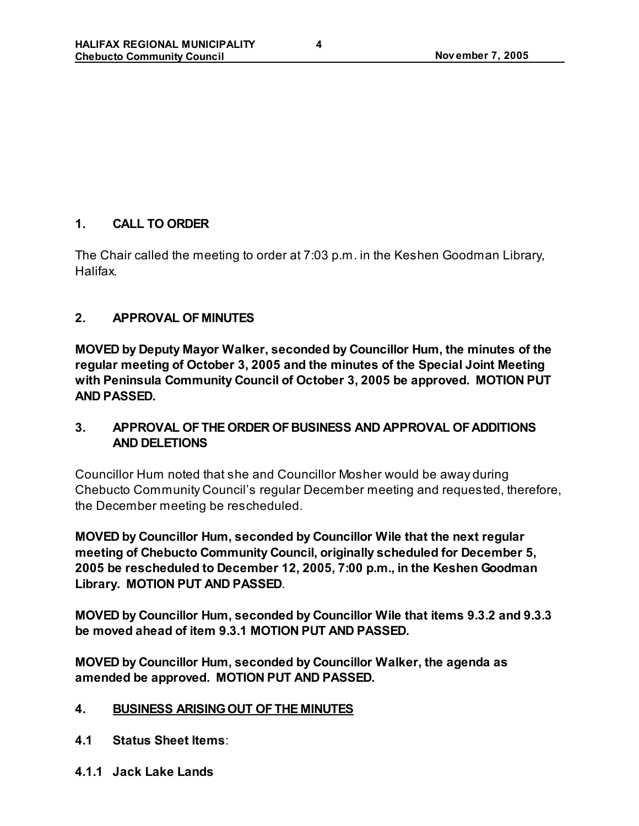# **1. CALL TO ORDER**

The Chair called the meeting to order at 7:03 p.m. in the Keshen Goodman Library, Halifax.

# **2. APPROVAL OF MINUTES**

**MOVED by Deputy Mayor Walker, seconded by Councillor Hum, the minutes of the regular meeting of October 3, 2005 and the minutes of the Special Joint Meeting with Peninsula Community Council of October 3, 2005 be approved. MOTION PUT AND PASSED.**

# **3. APPROVAL OF THE ORDER OF BUSINESS AND APPROVAL OF ADDITIONS AND DELETIONS**

Councillor Hum noted that she and Councillor Mosher would be away during Chebucto Community Council's regular December meeting and requested, therefore, the December meeting be rescheduled.

**MOVED by Councillor Hum, seconded by Councillor Wile that the next regular meeting of Chebucto Community Council, originally scheduled for December 5, 2005 be rescheduled to December 12, 2005, 7:00 p.m., in the Keshen Goodman Library. MOTION PUT AND PASSED**.

**MOVED by Councillor Hum, seconded by Councillor Wile that items 9.3.2 and 9.3.3 be moved ahead of item 9.3.1 MOTION PUT AND PASSED.**

**MOVED by Councillor Hum, seconded by Councillor Walker, the agenda as amended be approved. MOTION PUT AND PASSED.**

# **4. BUSINESS ARISING OUT OF THE MINUTES**

- **4.1 Status Sheet Items**:
- **4.1.1 Jack Lake Lands**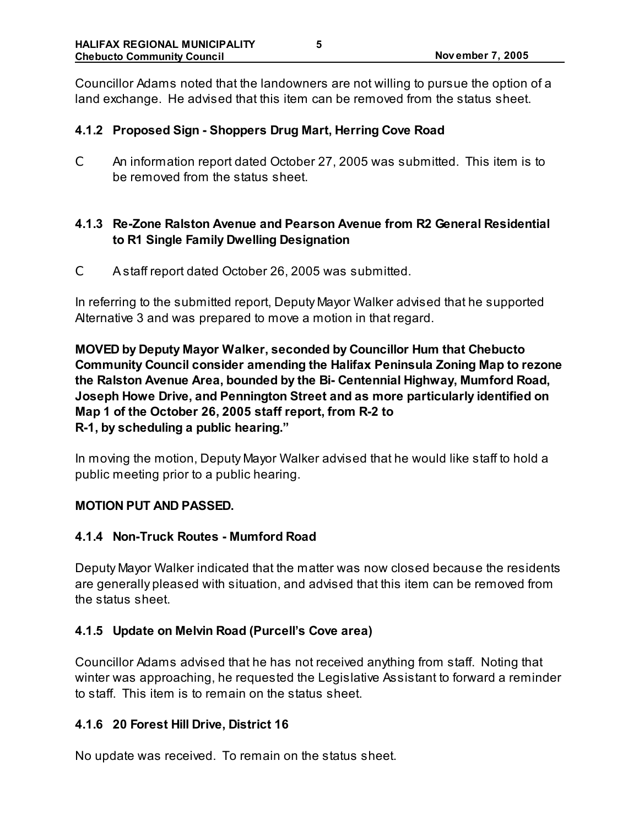Councillor Adams noted that the landowners are not willing to pursue the option of a land exchange. He advised that this item can be removed from the status sheet.

### **4.1.2 Proposed Sign - Shoppers Drug Mart, Herring Cove Road**

C An information report dated October 27, 2005 was submitted. This item is to be removed from the status sheet.

## **4.1.3 Re-Zone Ralston Avenue and Pearson Avenue from R2 General Residential to R1 Single Family Dwelling Designation**

C A staff report dated October 26, 2005 was submitted.

In referring to the submitted report, Deputy Mayor Walker advised that he supported Alternative 3 and was prepared to move a motion in that regard.

**MOVED by Deputy Mayor Walker, seconded by Councillor Hum that Chebucto Community Council consider amending the Halifax Peninsula Zoning Map to rezone the Ralston Avenue Area, bounded by the Bi- Centennial Highway, Mumford Road, Joseph Howe Drive, and Pennington Street and as more particularly identified on Map 1 of the October 26, 2005 staff report, from R-2 to R-1, by scheduling a public hearing."** 

In moving the motion, Deputy Mayor Walker advised that he would like staff to hold a public meeting prior to a public hearing.

### **MOTION PUT AND PASSED.**

### **4.1.4 Non-Truck Routes - Mumford Road**

Deputy Mayor Walker indicated that the matter was now closed because the residents are generally pleased with situation, and advised that this item can be removed from the status sheet.

### **4.1.5 Update on Melvin Road (Purcell's Cove area)**

Councillor Adams advised that he has not received anything from staff. Noting that winter was approaching, he requested the Legislative Assistant to forward a reminder to staff. This item is to remain on the status sheet.

### **4.1.6 20 Forest Hill Drive, District 16**

No update was received. To remain on the status sheet.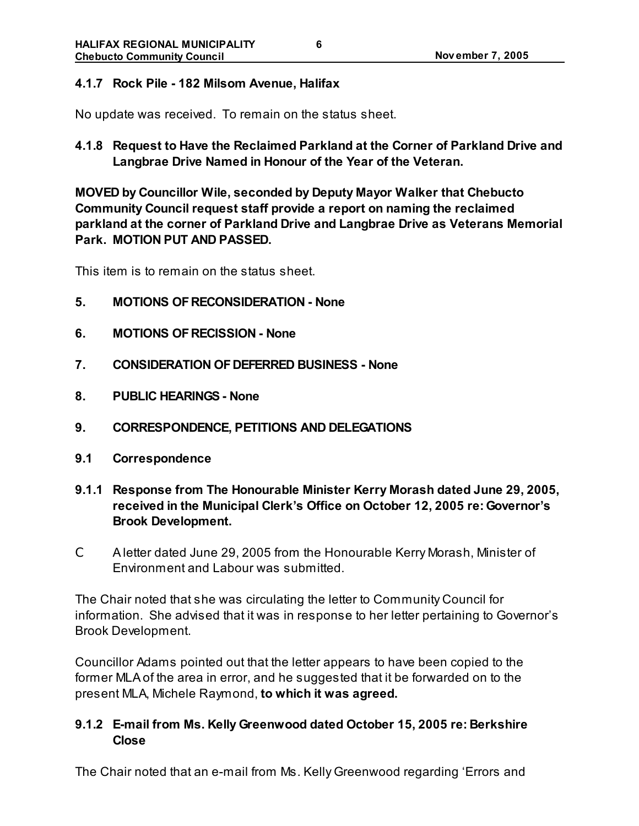#### **4.1.7 Rock Pile - 182 Milsom Avenue, Halifax**

No update was received. To remain on the status sheet.

**4.1.8 Request to Have the Reclaimed Parkland at the Corner of Parkland Drive and Langbrae Drive Named in Honour of the Year of the Veteran.**

**MOVED by Councillor Wile, seconded by Deputy Mayor Walker that Chebucto Community Council request staff provide a report on naming the reclaimed parkland at the corner of Parkland Drive and Langbrae Drive as Veterans Memorial Park. MOTION PUT AND PASSED.**

This item is to remain on the status sheet.

- **5. MOTIONS OF RECONSIDERATION None**
- **6. MOTIONS OF RECISSION None**
- **7. CONSIDERATION OF DEFERRED BUSINESS None**
- **8. PUBLIC HEARINGS- None**
- **9. CORRESPONDENCE, PETITIONS AND DELEGATIONS**
- **9.1 Correspondence**
- **9.1.1 Response from The Honourable Minister Kerry Morash dated June 29, 2005, received in the Municipal Clerk's Office on October 12, 2005 re: Governor's Brook Development.**
- C A letter dated June 29, 2005 from the Honourable Kerry Morash, Minister of Environment and Labour was submitted.

The Chair noted that she was circulating the letter to Community Council for information. She advised that it was in response to her letter pertaining to Governor's Brook Development.

Councillor Adams pointed out that the letter appears to have been copied to the former MLA of the area in error, and he suggested that it be forwarded on to the present MLA, Michele Raymond, **to which it was agreed.**

### **9.1.2 E-mail from Ms. Kelly Greenwood dated October 15, 2005 re: Berkshire Close**

The Chair noted that an e-mail from Ms. Kelly Greenwood regarding 'Errors and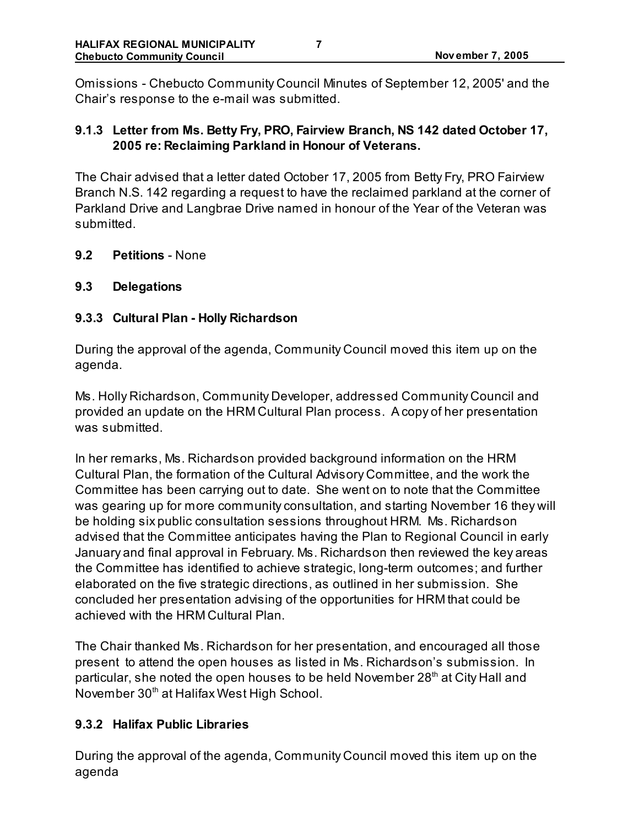Omissions - Chebucto Community Council Minutes of September 12, 2005' and the Chair's response to the e-mail was submitted.

# **9.1.3 Letter from Ms. Betty Fry, PRO, Fairview Branch, NS 142 dated October 17, 2005 re: Reclaiming Parkland in Honour of Veterans.**

The Chair advised that a letter dated October 17, 2005 from Betty Fry, PRO Fairview Branch N.S. 142 regarding a request to have the reclaimed parkland at the corner of Parkland Drive and Langbrae Drive named in honour of the Year of the Veteran was submitted.

**9.2 Petitions** - None

### **9.3 Delegations**

### **9.3.3 Cultural Plan - Holly Richardson**

During the approval of the agenda, Community Council moved this item up on the agenda.

Ms. Holly Richardson, Community Developer, addressed Community Council and provided an update on the HRM Cultural Plan process. A copy of her presentation was submitted.

In her remarks, Ms. Richardson provided background information on the HRM Cultural Plan, the formation of the Cultural Advisory Committee, and the work the Committee has been carrying out to date. She went on to note that the Committee was gearing up for more community consultation, and starting November 16 they will be holding six public consultation sessions throughout HRM. Ms. Richardson advised that the Committee anticipates having the Plan to Regional Council in early January and final approval in February. Ms. Richardson then reviewed the key areas the Committee has identified to achieve strategic, long-term outcomes; and further elaborated on the five strategic directions, as outlined in her submission. She concluded her presentation advising of the opportunities for HRM that could be achieved with the HRM Cultural Plan.

The Chair thanked Ms. Richardson for her presentation, and encouraged all those present to attend the open houses as listed in Ms. Richardson's submission. In particular, she noted the open houses to be held November 28<sup>th</sup> at City Hall and November 30<sup>th</sup> at Halifax West High School.

# **9.3.2 Halifax Public Libraries**

During the approval of the agenda, Community Council moved this item up on the agenda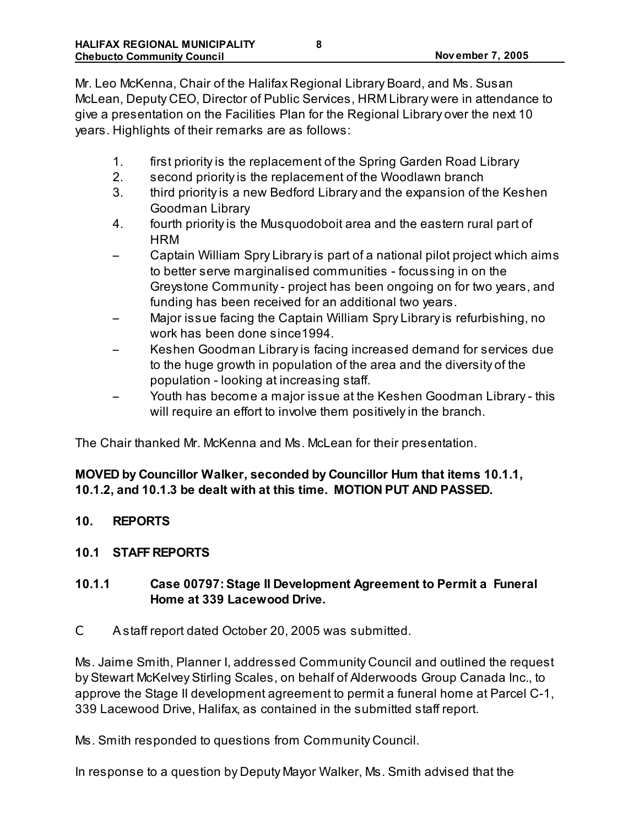Mr. Leo McKenna, Chair of the Halifax Regional Library Board, and Ms. Susan McLean, Deputy CEO, Director of Public Services, HRM Library were in attendance to give a presentation on the Facilities Plan for the Regional Library over the next 10 years. Highlights of their remarks are as follows:

- 1. first priority is the replacement of the Spring Garden Road Library
- 2. second priority is the replacement of the Woodlawn branch
- 3. third priority is a new Bedford Library and the expansion of the Keshen Goodman Library
- 4. fourth priority is the Musquodoboit area and the eastern rural part of **HRM**
- Captain William Spry Library is part of a national pilot project which aims to better serve marginalised communities - focussing in on the Greystone Community - project has been ongoing on for two years, and funding has been received for an additional two years.
- Major issue facing the Captain William Spry Library is refurbishing, no work has been done since1994.
- Keshen Goodman Library is facing increased demand for services due to the huge growth in population of the area and the diversity of the population - looking at increasing staff.
- Youth has become a major issue at the Keshen Goodman Library this will require an effort to involve them positively in the branch.

The Chair thanked Mr. McKenna and Ms. McLean for their presentation.

# **MOVED by Councillor Walker, seconded by Councillor Hum that items 10.1.1, 10.1.2, and 10.1.3 be dealt with at this time. MOTION PUT AND PASSED.**

**10. REPORTS**

# **10.1 STAFF REPORTS**

# **10.1.1 Case 00797: Stage II Development Agreement to Permit a Funeral Home at 339 Lacewood Drive.**

C A staff report dated October 20, 2005 was submitted.

Ms. Jaime Smith, Planner I, addressed Community Council and outlined the request by Stewart McKelvey Stirling Scales, on behalf of Alderwoods Group Canada Inc., to approve the Stage II development agreement to permit a funeral home at Parcel C-1, 339 Lacewood Drive, Halifax, as contained in the submitted staff report.

Ms. Smith responded to questions from Community Council.

In response to a question by Deputy Mayor Walker, Ms. Smith advised that the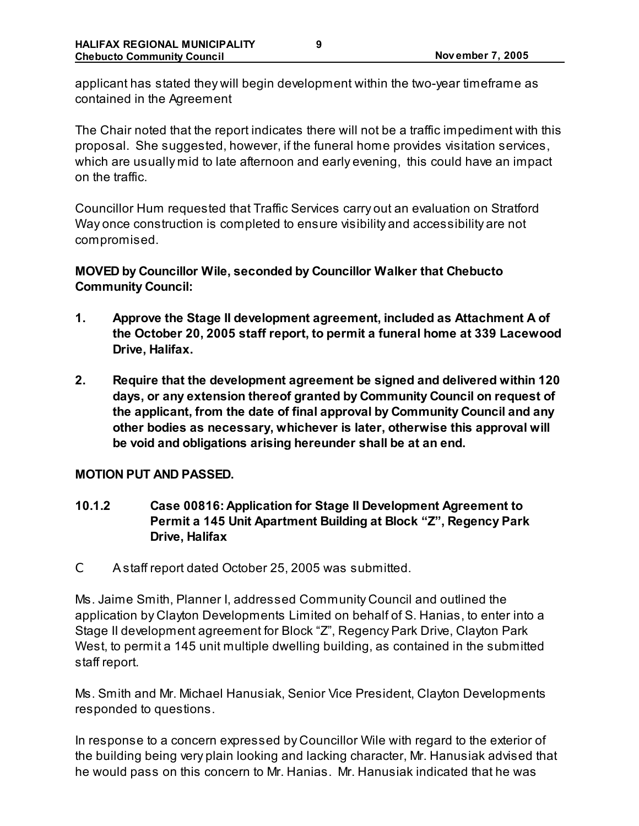applicant has stated they will begin development within the two-year timeframe as contained in the Agreement

The Chair noted that the report indicates there will not be a traffic impediment with this proposal. She suggested, however, if the funeral home provides visitation services, which are usually mid to late afternoon and early evening, this could have an impact on the traffic.

Councillor Hum requested that Traffic Services carry out an evaluation on Stratford Way once construction is completed to ensure visibility and accessibility are not compromised.

# **MOVED by Councillor Wile, seconded by Councillor Walker that Chebucto Community Council:**

- **1. Approve the Stage II development agreement, included as Attachment A of the October 20, 2005 staff report, to permit a funeral home at 339 Lacewood Drive, Halifax.**
- **2. Require that the development agreement be signed and delivered within 120 days, or any extension thereof granted by Community Council on request of the applicant, from the date of final approval by Community Council and any other bodies as necessary, whichever is later, otherwise this approval will be void and obligations arising hereunder shall be at an end.**

### **MOTION PUT AND PASSED.**

- **10.1.2 Case 00816: Application for Stage II Development Agreement to Permit a 145 Unit Apartment Building at Block "Z", Regency Park Drive, Halifax**
- C A staff report dated October 25, 2005 was submitted.

Ms. Jaime Smith, Planner I, addressed Community Council and outlined the application by Clayton Developments Limited on behalf of S. Hanias, to enter into a Stage II development agreement for Block "Z", Regency Park Drive, Clayton Park West, to permit a 145 unit multiple dwelling building, as contained in the submitted staff report.

Ms. Smith and Mr. Michael Hanusiak, Senior Vice President, Clayton Developments responded to questions.

In response to a concern expressed by Councillor Wile with regard to the exterior of the building being very plain looking and lacking character, Mr. Hanusiak advised that he would pass on this concern to Mr. Hanias. Mr. Hanusiak indicated that he was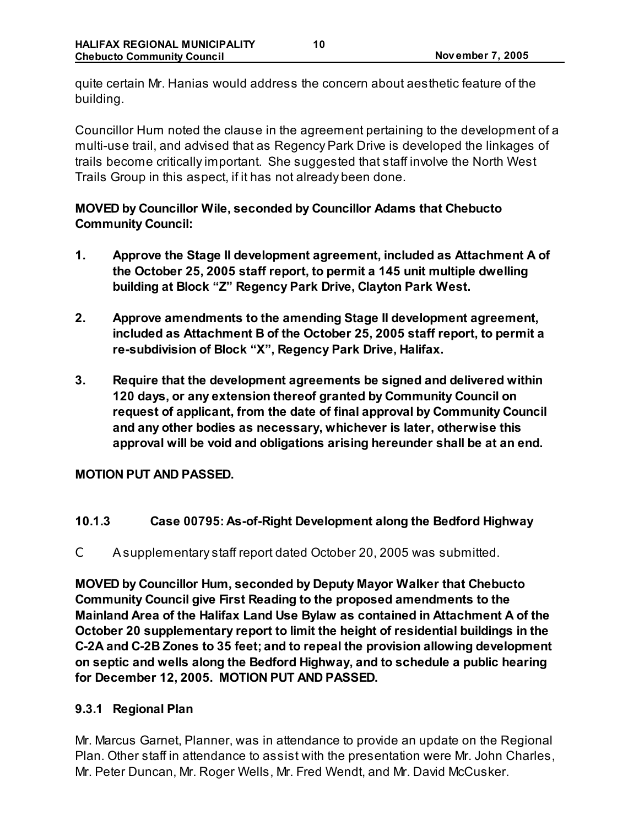quite certain Mr. Hanias would address the concern about aesthetic feature of the building.

Councillor Hum noted the clause in the agreement pertaining to the development of a multi-use trail, and advised that as Regency Park Drive is developed the linkages of trails become critically important. She suggested that staff involve the North West Trails Group in this aspect, if it has not already been done.

# **MOVED by Councillor Wile, seconded by Councillor Adams that Chebucto Community Council:**

- **1. Approve the Stage II development agreement, included as Attachment A of the October 25, 2005 staff report, to permit a 145 unit multiple dwelling building at Block "Z" Regency Park Drive, Clayton Park West.**
- **2. Approve amendments to the amending Stage II development agreement, included as Attachment B of the October 25, 2005 staff report, to permit a re-subdivision of Block "X", Regency Park Drive, Halifax.**
- **3. Require that the development agreements be signed and delivered within 120 days, or any extension thereof granted by Community Council on request of applicant, from the date of final approval by Community Council and any other bodies as necessary, whichever is later, otherwise this approval will be void and obligations arising hereunder shall be at an end.**

### **MOTION PUT AND PASSED.**

# **10.1.3 Case 00795: As-of-Right Development along the Bedford Highway**

C A supplementary staff report dated October 20, 2005 was submitted.

**MOVED by Councillor Hum, seconded by Deputy Mayor Walker that Chebucto Community Council give First Reading to the proposed amendments to the Mainland Area of the Halifax Land Use Bylaw as contained in Attachment A of the October 20 supplementary report to limit the height of residential buildings in the C-2A and C-2B Zones to 35 feet; and to repeal the provision allowing development on septic and wells along the Bedford Highway, and to schedule a public hearing for December 12, 2005. MOTION PUT AND PASSED.**

# **9.3.1 Regional Plan**

Mr. Marcus Garnet, Planner, was in attendance to provide an update on the Regional Plan. Other staff in attendance to assist with the presentation were Mr. John Charles, Mr. Peter Duncan, Mr. Roger Wells, Mr. Fred Wendt, and Mr. David McCusker.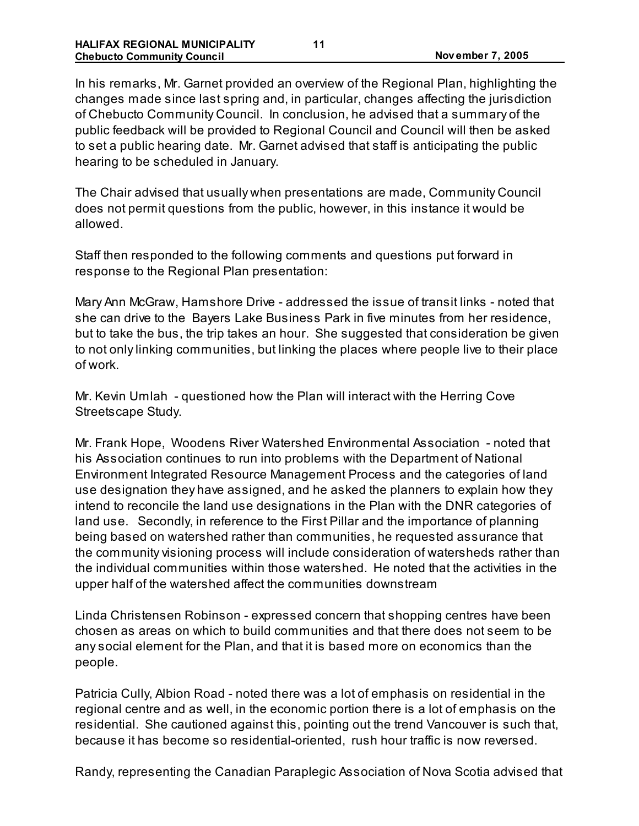In his remarks, Mr. Garnet provided an overview of the Regional Plan, highlighting the changes made since last spring and, in particular, changes affecting the jurisdiction of Chebucto Community Council. In conclusion, he advised that a summary of the public feedback will be provided to Regional Council and Council will then be asked to set a public hearing date. Mr. Garnet advised that staff is anticipating the public hearing to be scheduled in January.

The Chair advised that usually when presentations are made, Community Council does not permit questions from the public, however, in this instance it would be allowed.

Staff then responded to the following comments and questions put forward in response to the Regional Plan presentation:

Mary Ann McGraw, Hamshore Drive - addressed the issue of transit links - noted that she can drive to the Bayers Lake Business Park in five minutes from her residence, but to take the bus, the trip takes an hour. She suggested that consideration be given to not only linking communities, but linking the places where people live to their place of work.

Mr. Kevin Umlah - questioned how the Plan will interact with the Herring Cove Streetscape Study.

Mr. Frank Hope, Woodens River Watershed Environmental Association - noted that his Association continues to run into problems with the Department of National Environment Integrated Resource Management Process and the categories of land use designation they have assigned, and he asked the planners to explain how they intend to reconcile the land use designations in the Plan with the DNR categories of land use. Secondly, in reference to the First Pillar and the importance of planning being based on watershed rather than communities, he requested assurance that the community visioning process will include consideration of watersheds rather than the individual communities within those watershed. He noted that the activities in the upper half of the watershed affect the communities downstream

Linda Christensen Robinson - expressed concern that shopping centres have been chosen as areas on which to build communities and that there does not seem to be any social element for the Plan, and that it is based more on economics than the people.

Patricia Cully, Albion Road - noted there was a lot of emphasis on residential in the regional centre and as well, in the economic portion there is a lot of emphasis on the residential. She cautioned against this, pointing out the trend Vancouver is such that, because it has become so residential-oriented, rush hour traffic is now reversed.

Randy, representing the Canadian Paraplegic Association of Nova Scotia advised that